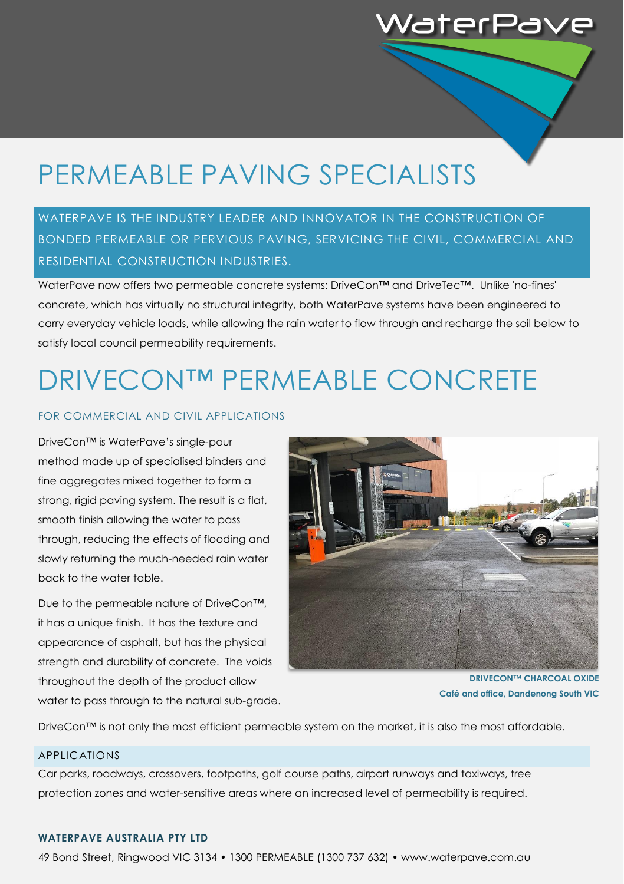# PERMEABLE PAVING SPECIALISTS

### WATERPAVE IS THE INDUSTRY LEADER AND INNOVATOR IN THE CONSTRUCTION OF BONDED PERMEABLE OR PERVIOUS PAVING, SERVICING THE CIVIL, COMMERCIAL AND RESIDENTIAL CONSTRUCTION INDUSTRIES.

WaterPave now offers two permeable concrete systems: DriveCon™ and DriveTec™. Unlike 'no-fines' concrete, which has virtually no structural integrity, both WaterPave systems have been engineered to carry everyday vehicle loads, while allowing the rain water to flow through and recharge the soil below to satisfy local council permeability requirements.

# DRIVECON™ PERMEABLE CONCRETE

#### FOR COMMERCIAL AND CIVIL APPLICATIONS

DriveCon™ is WaterPave's single-pour method made up of specialised binders and fine aggregates mixed together to form a strong, rigid paving system. The result is a flat, smooth finish allowing the water to pass through, reducing the effects of flooding and slowly returning the much-needed rain water back to the water table.

Due to the permeable nature of DriveCon™, it has a unique finish. It has the texture and appearance of asphalt, but has the physical strength and durability of concrete. The voids throughout the depth of the product allow water to pass through to the natural sub-grade.



NaterPa

**DRIVECON™ CHARCOAL OXIDE Café and office, Dandenong South VIC**

DriveCon™ is not only the most efficient permeable system on the market, it is also the most affordable.

#### APPLICATIONS

Car parks, roadways, crossovers, footpaths, golf course paths, airport runways and taxiways, tree protection zones and water-sensitive areas where an increased level of permeability is required.

#### **WATERPAVE AUSTRALIA PTY LTD**

49 Bond Street, Ringwood VIC 3134 • 1300 PERMEABLE (1300 737 632) • www.waterpave.com.au